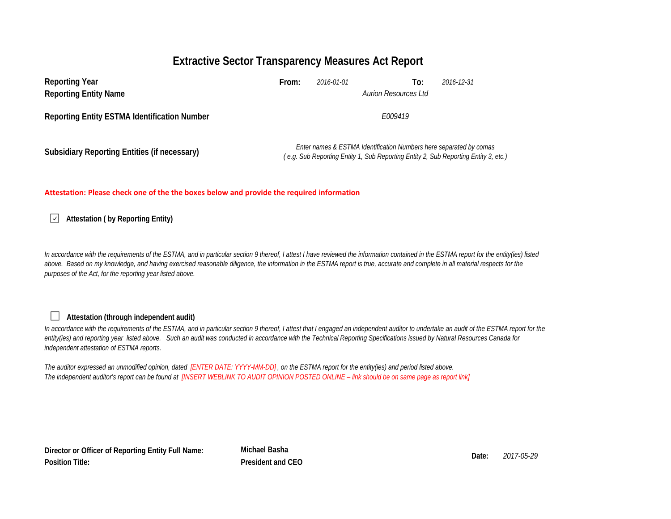# **Extractive Sector Transparency Measures Act Report**

| <b>Reporting Year</b><br><b>Reporting Entity Name</b> | From:   | 2016-01-01 | To:<br><b>Aurion Resources Ltd</b>                                 | 2016-12-31                                                                          |  |  |
|-------------------------------------------------------|---------|------------|--------------------------------------------------------------------|-------------------------------------------------------------------------------------|--|--|
| <b>Reporting Entity ESTMA Identification Number</b>   | F009419 |            |                                                                    |                                                                                     |  |  |
| Subsidiary Reporting Entities (if necessary)          |         |            | Enter names & ESTMA Identification Numbers here separated by comas | (e.g. Sub Reporting Entity 1, Sub Reporting Entity 2, Sub Reporting Entity 3, etc., |  |  |

### **Attestation: Please check one of the the boxes below and provide the required information**

**Attestation ( by Reporting Entity)**  $\sqrt{}$ 

In accordance with the requirements of the ESTMA, and in particular section 9 thereof, I attest I have reviewed the information contained in the ESTMA report for the entity(ies) listed above. Based on my knowledge, and having exercised reasonable diligence, the information in the ESTMA report is true, accurate and complete in all material respects for the *purposes of the Act, for the reporting year listed above.* 

#### $\Box$ **Attestation (through independent audit)**

In accordance with the requirements of the ESTMA, and in particular section 9 thereof, I attest that I engaged an independent auditor to undertake an audit of the ESTMA report for the *entity(ies) and reporting year listed above. Such an audit was conducted in accordance with the Technical Reporting Specifications issued by Natural Resources Canada for independent attestation of ESTMA reports.* 

*The auditor expressed an unmodified opinion, dated [ENTER DATE: YYYY-MM-DD] , on the ESTMA report for the entity(ies) and period listed above. The independent auditor's report can be found at [INSERT WEBLINK TO AUDIT OPINION POSTED ONLINE – link should be on same page as report link]* 

**Director or Officer of Reporting Entity Full Name: Position Title:**

**Michael Basha Date:** *2017-05-29* **President and CEO**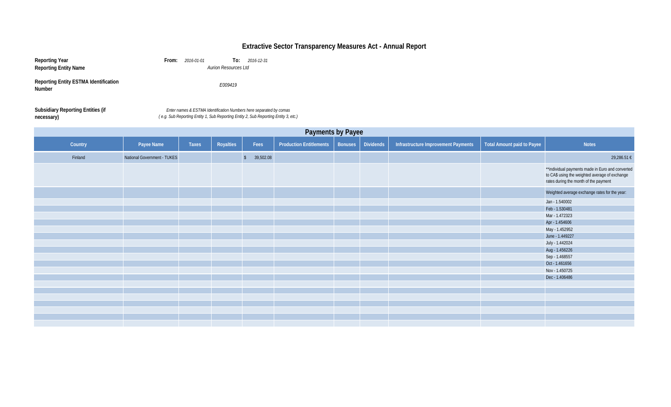## **Extractive Sector Transparency Measures Act - Annual Report**

| Reporting Year                                         | From:<br>2016-01-01<br>2016-12-31<br>To:                                                                                                                  |
|--------------------------------------------------------|-----------------------------------------------------------------------------------------------------------------------------------------------------------|
| <b>Reporting Entity Name</b>                           | <b>Aurion Resources Ltd</b>                                                                                                                               |
| <b>Reporting Entity ESTMA Identification</b><br>Number | F009419                                                                                                                                                   |
| <b>Subsidiary Reporting Entities (if</b><br>necessary) | Enter names & ESTMA Identification Numbers here separated by comas<br>(e.g. Sub Reporting Entity 1, Sub Reporting Entity 2, Sub Reporting Entity 3, etc.) |

**necessary)** *( e.g. Sub Reporting Entity 1, Sub Reporting Entity 2, Sub Reporting Entity 3, etc.) Enter names & ESTMA Identification Numbers here separated by comas* 

| Payments by Payee |                             |       |           |                         |                                |                |                  |                                     |                                   |                                                                                                                                             |
|-------------------|-----------------------------|-------|-----------|-------------------------|--------------------------------|----------------|------------------|-------------------------------------|-----------------------------------|---------------------------------------------------------------------------------------------------------------------------------------------|
| Country           | Payee Name                  | Taxes | Royalties | Fees                    | <b>Production Entitlements</b> | <b>Bonuses</b> | <b>Dividends</b> | Infrastructure Improvement Payments | <b>Total Amount paid to Payee</b> | <b>Notes</b>                                                                                                                                |
| Finland           | National Government - TUKES |       |           | 39,502.08<br>$\sqrt{2}$ |                                |                |                  |                                     |                                   | 29,286.51 €                                                                                                                                 |
|                   |                             |       |           |                         |                                |                |                  |                                     |                                   | **individual payments made in Euro and converted<br>to CA\$ using the weighted average of exchange<br>rates during the month of the payment |
|                   |                             |       |           |                         |                                |                |                  |                                     |                                   | Weighted average exchange rates for the year:                                                                                               |
|                   |                             |       |           |                         |                                |                |                  |                                     |                                   | Jan - 1.540002                                                                                                                              |
|                   |                             |       |           |                         |                                |                |                  |                                     |                                   | Feb - 1.530481                                                                                                                              |
|                   |                             |       |           |                         |                                |                |                  |                                     |                                   | Mar - 1.472323                                                                                                                              |
|                   |                             |       |           |                         |                                |                |                  |                                     |                                   | Apr - 1.454606                                                                                                                              |
|                   |                             |       |           |                         |                                |                |                  |                                     |                                   | May - 1.452952                                                                                                                              |
|                   |                             |       |           |                         |                                |                |                  |                                     |                                   | June - 1.449227                                                                                                                             |
|                   |                             |       |           |                         |                                |                |                  |                                     |                                   | July - 1.442024                                                                                                                             |
|                   |                             |       |           |                         |                                |                |                  |                                     |                                   | Aug - 1.456226                                                                                                                              |
|                   |                             |       |           |                         |                                |                |                  |                                     |                                   | Sep - 1.468557                                                                                                                              |
|                   |                             |       |           |                         |                                |                |                  |                                     |                                   | Oct - 1.461656                                                                                                                              |
|                   |                             |       |           |                         |                                |                |                  |                                     |                                   | Nov - 1.450725                                                                                                                              |
|                   |                             |       |           |                         |                                |                |                  |                                     |                                   | Dec - 1.406486                                                                                                                              |
|                   |                             |       |           |                         |                                |                |                  |                                     |                                   |                                                                                                                                             |
|                   |                             |       |           |                         |                                |                |                  |                                     |                                   |                                                                                                                                             |
|                   |                             |       |           |                         |                                |                |                  |                                     |                                   |                                                                                                                                             |
|                   |                             |       |           |                         |                                |                |                  |                                     |                                   |                                                                                                                                             |
|                   |                             |       |           |                         |                                |                |                  |                                     |                                   |                                                                                                                                             |
|                   |                             |       |           |                         |                                |                |                  |                                     |                                   |                                                                                                                                             |